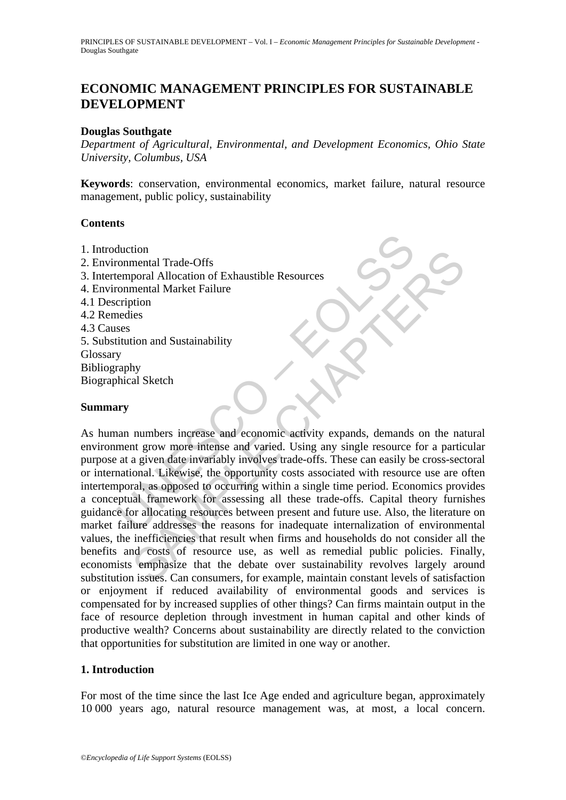# **ECONOMIC MANAGEMENT PRINCIPLES FOR SUSTAINABLE DEVELOPMENT**

### **Douglas Southgate**

*Department of Agricultural, Environmental, and Development Economics, Ohio State University, Columbus, USA* 

**Keywords**: conservation, environmental economics, market failure, natural resource management, public policy, sustainability

### **Contents**

- 1. Introduction
- 2. Environmental Trade-Offs
- 3. Intertemporal Allocation of Exhaustible Resources
- 4. Environmental Market Failure
- 4.1 Description
- 4.2 Remedies
- 4.3 Causes
- 5. Substitution and Sustainability
- **Glossary**
- Bibliography
- Biographical Sketch

## **Summary**

duction<br>
in commental Trade-Offs<br>
emporal Allocation of Exhaustible Resources<br>
commental Market Failure<br>
cription<br>
erdies<br>
ses<br>
ses<br>
ses<br>
y<br>
y<br>
y<br>
y<br>
y<br>
y<br>
y<br>
ann numbers increase and economic activity expands, demands<br>
me SAMPLE CHAPTERS As human numbers increase and economic activity expands, demands on the natural environment grow more intense and varied. Using any single resource for a particular purpose at a given date invariably involves trade-offs. These can easily be cross-sectoral or international. Likewise, the opportunity costs associated with resource use are often intertemporal, as opposed to occurring within a single time period. Economics provides a conceptual framework for assessing all these trade-offs. Capital theory furnishes guidance for allocating resources between present and future use. Also, the literature on market failure addresses the reasons for inadequate internalization of environmental values, the inefficiencies that result when firms and households do not consider all the benefits and costs of resource use, as well as remedial public policies. Finally, economists emphasize that the debate over sustainability revolves largely around substitution issues. Can consumers, for example, maintain constant levels of satisfaction or enjoyment if reduced availability of environmental goods and services is compensated for by increased supplies of other things? Can firms maintain output in the face of resource depletion through investment in human capital and other kinds of productive wealth? Concerns about sustainability are directly related to the conviction that opportunities for substitution are limited in one way or another.

### **1. Introduction**

For most of the time since the last Ice Age ended and agriculture began, approximately 10 000 years ago, natural resource management was, at most, a local concern.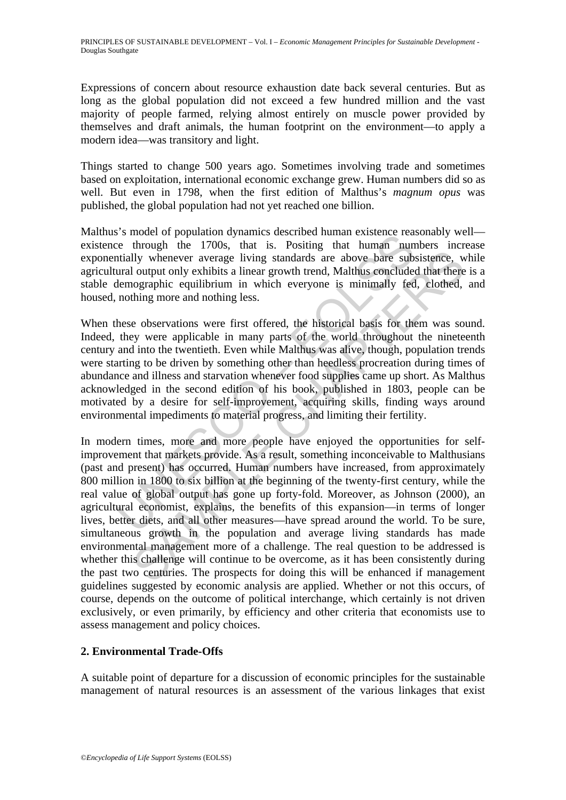Expressions of concern about resource exhaustion date back several centuries. But as long as the global population did not exceed a few hundred million and the vast majority of people farmed, relying almost entirely on muscle power provided by themselves and draft animals, the human footprint on the environment—to apply a modern idea—was transitory and light.

Things started to change 500 years ago. Sometimes involving trade and sometimes based on exploitation, international economic exchange grew. Human numbers did so as well. But even in 1798, when the first edition of Malthus's *magnum opus* was published, the global population had not yet reached one billion.

Malthus's model of population dynamics described human existence reasonably well existence through the 1700s, that is. Positing that human numbers increase exponentially whenever average living standards are above bare subsistence, while agricultural output only exhibits a linear growth trend, Malthus concluded that there is a stable demographic equilibrium in which everyone is minimally fed, clothed, and housed, nothing more and nothing less.

Solution dynamics described in that markets encosed in the section of bepolation of the set through the 1700s, that is. Positing that human numitally whenever average living standards are above bare subural output only exh When these observations were first offered, the historical basis for them was sound. Indeed, they were applicable in many parts of the world throughout the nineteenth century and into the twentieth. Even while Malthus was alive, though, population trends were starting to be driven by something other than heedless procreation during times of abundance and illness and starvation whenever food supplies came up short. As Malthus acknowledged in the second edition of his book, published in 1803, people can be motivated by a desire for self-improvement, acquiring skills, finding ways around environmental impediments to material progress, and limiting their fertility.

Ily whenever average living standards are above bare subsistence, well output only exhibits a linear growth trend, Malthus concluded that there operaphic equilibrium in which everyone is minimally fed, elothed, thing more In modern times, more and more people have enjoyed the opportunities for selfimprovement that markets provide. As a result, something inconceivable to Malthusians (past and present) has occurred. Human numbers have increased, from approximately 800 million in 1800 to six billion at the beginning of the twenty-first century, while the real value of global output has gone up forty-fold. Moreover, as Johnson (2000), an agricultural economist, explains, the benefits of this expansion—in terms of longer lives, better diets, and all other measures—have spread around the world. To be sure, simultaneous growth in the population and average living standards has made environmental management more of a challenge. The real question to be addressed is whether this challenge will continue to be overcome, as it has been consistently during the past two centuries. The prospects for doing this will be enhanced if management guidelines suggested by economic analysis are applied. Whether or not this occurs, of course, depends on the outcome of political interchange, which certainly is not driven exclusively, or even primarily, by efficiency and other criteria that economists use to assess management and policy choices.

## **2. Environmental Trade-Offs**

A suitable point of departure for a discussion of economic principles for the sustainable management of natural resources is an assessment of the various linkages that exist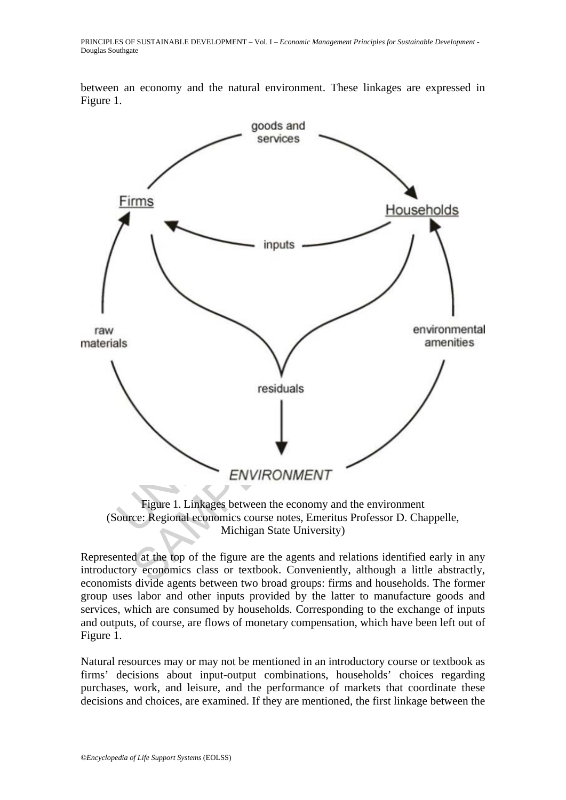between an economy and the natural environment. These linkages are expressed in Figure 1.



(Source: Regional economics course notes, Emeritus Professor D. Chappelle, Michigan State University)

Represented at the top of the figure are the agents and relations identified early in any introductory economics class or textbook. Conveniently, although a little abstractly, economists divide agents between two broad groups: firms and households. The former group uses labor and other inputs provided by the latter to manufacture goods and services, which are consumed by households. Corresponding to the exchange of inputs and outputs, of course, are flows of monetary compensation, which have been left out of Figure 1.

Natural resources may or may not be mentioned in an introductory course or textbook as firms' decisions about input-output combinations, households' choices regarding purchases, work, and leisure, and the performance of markets that coordinate these decisions and choices, are examined. If they are mentioned, the first linkage between the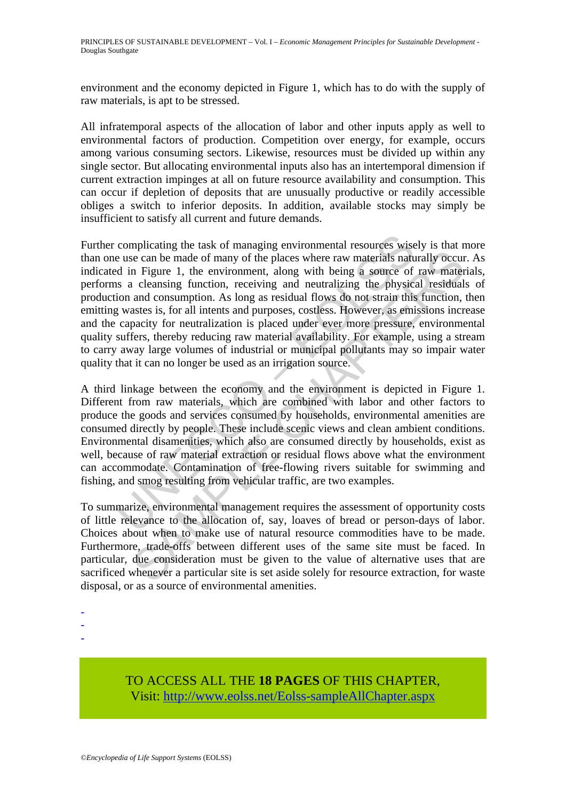environment and the economy depicted in Figure 1, which has to do with the supply of raw materials, is apt to be stressed.

All infratemporal aspects of the allocation of labor and other inputs apply as well to environmental factors of production. Competition over energy, for example, occurs among various consuming sectors. Likewise, resources must be divided up within any single sector. But allocating environmental inputs also has an intertemporal dimension if current extraction impinges at all on future resource availability and consumption. This can occur if depletion of deposits that are unusually productive or readily accessible obliges a switch to inferior deposits. In addition, available stocks may simply be insufficient to satisfy all current and future demands.

complicating the task of managing environmental resources wise<br>e use can be made of many of the places where raw materials natu<br>d in Figure 1, the environment, along with being a source of<br>s a cleansing function, receiving is example the control management requires the same since the can be made of many of the places where raw materials naturally occurs in Figure 1, the environment, along with being a source of raw mater cleansing function, Further complicating the task of managing environmental resources wisely is that more than one use can be made of many of the places where raw materials naturally occur. As indicated in Figure 1, the environment, along with being a source of raw materials, performs a cleansing function, receiving and neutralizing the physical residuals of production and consumption. As long as residual flows do not strain this function, then emitting wastes is, for all intents and purposes, costless. However, as emissions increase and the capacity for neutralization is placed under ever more pressure, environmental quality suffers, thereby reducing raw material availability. For example, using a stream to carry away large volumes of industrial or municipal pollutants may so impair water quality that it can no longer be used as an irrigation source.

A third linkage between the economy and the environment is depicted in Figure 1. Different from raw materials, which are combined with labor and other factors to produce the goods and services consumed by households, environmental amenities are consumed directly by people. These include scenic views and clean ambient conditions. Environmental disamenities, which also are consumed directly by households, exist as well, because of raw material extraction or residual flows above what the environment can accommodate. Contamination of free-flowing rivers suitable for swimming and fishing, and smog resulting from vehicular traffic, are two examples.

To summarize, environmental management requires the assessment of opportunity costs of little relevance to the allocation of, say, loaves of bread or person-days of labor. Choices about when to make use of natural resource commodities have to be made. Furthermore, trade-offs between different uses of the same site must be faced. In particular, due consideration must be given to the value of alternative uses that are sacrificed whenever a particular site is set aside solely for resource extraction, for waste disposal, or as a source of environmental amenities.

-

- -
- -

# TO ACCESS ALL THE **18 PAGES** OF THIS CHAPTER, Visit: [http://www.eolss.net/Eolss-sampleAllChapter.aspx](https://www.eolss.net/ebooklib/sc_cart.aspx?File=E1-46A-01-01)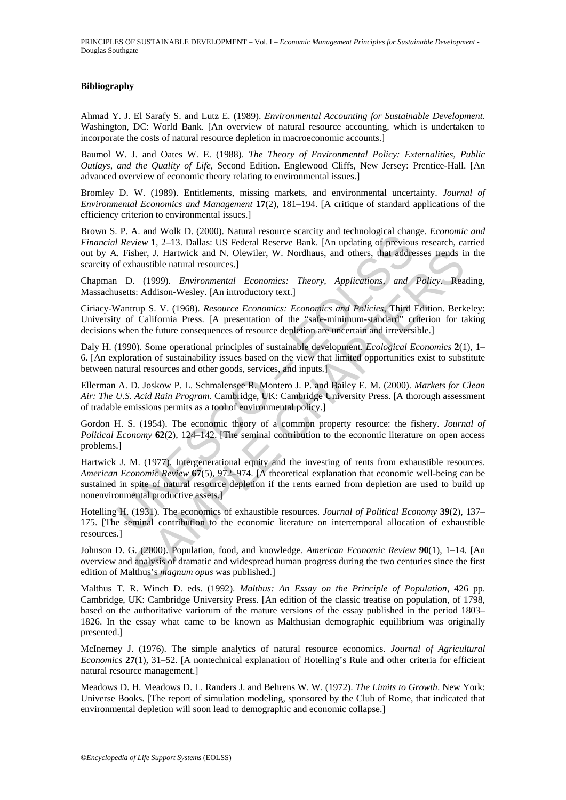#### **Bibliography**

Ahmad Y. J. El Sarafy S. and Lutz E. (1989). *Environmental Accounting for Sustainable Development*. Washington, DC: World Bank. [An overview of natural resource accounting, which is undertaken to incorporate the costs of natural resource depletion in macroeconomic accounts.]

Baumol W. J. and Oates W. E. (1988). *The Theory of Environmental Policy: Externalities, Public Outlays, and the Quality of Life*, Second Edition. Englewood Cliffs, New Jersey: Prentice-Hall. [An advanced overview of economic theory relating to environmental issues.]

Bromley D. W. (1989). Entitlements, missing markets, and environmental uncertainty. *Journal of Environmental Economics and Management* **17**(2), 181–194. [A critique of standard applications of the efficiency criterion to environmental issues.]

Brown S. P. A. and Wolk D. (2000). Natural resource scarcity and technological change. *Economic and Financial Review* **1**, 2–13. Dallas: US Federal Reserve Bank. [An updating of previous research, carried out by A. Fisher, J. Hartwick and N. Olewiler, W. Nordhaus, and others, that addresses trends in the scarcity of exhaustible natural resources.]

Chapman D. (1999). *Environmental Economics: Theory, Applications, and Policy*. Reading, Massachusetts: Addison-Wesley. [An introductory text.]

Ciriacy-Wantrup S. V. (1968). *Resource Economics: Economics and Policies*, Third Edition. Berkeley: University of California Press. [A presentation of the "safe-minimum-standard" criterion for taking decisions when the future consequences of resource depletion are uncertain and irreversible.]

Daly H. (1990). Some operational principles of sustainable development. *Ecological Economics* **2**(1), 1– 6. [An exploration of sustainability issues based on the view that limited opportunities exist to substitute between natural resources and other goods, services, and inputs.]

Ellerman A. D. Joskow P. L. Schmalensee R. Montero J. P. and Bailey E. M. (2000). *Markets for Clean Air: The U.S. Acid Rain Program*. Cambridge, UK: Cambridge University Press. [A thorough assessment of tradable emissions permits as a tool of environmental policy.]

Gordon H. S. (1954). The economic theory of a common property resource: the fishery. *Journal of Political Economy* **62**(2), 124–142. [The seminal contribution to the economic literature on open access problems.]

F. A. a. a. w. w. a. a. b. (2000). Fordual resource stacking and echinological radiin<br>
F. Review 1, 2-13. Dallas: US Federal Reserve Bank. [An updating of previous<br>
Fisher, J. Hartwick and N. Olewiler, W. Nordhaus, and ot sher, J. Hartwick and N. Olewiler, W. Nordhaus, and others, that addresses trends in<br>that sittels natural resources.]<br>
1. (1999). *Environmental* Economics: Theory, Applications, and Policy. Rea<br>
is: Addison-Wesley. [An in Hartwick J. M. (1977). Intergenerational equity and the investing of rents from exhaustible resources. *American Economic Review* **67**(5), 972–974. [A theoretical explanation that economic well-being can be sustained in spite of natural resource depletion if the rents earned from depletion are used to build up nonenvironmental productive assets.]

Hotelling H. (1931). The economics of exhaustible resources. *Journal of Political Economy* **39**(2), 137– 175. [The seminal contribution to the economic literature on intertemporal allocation of exhaustible resources.]

Johnson D. G. (2000). Population, food, and knowledge. *American Economic Review* **90**(1), 1–14. [An overview and analysis of dramatic and widespread human progress during the two centuries since the first edition of Malthus's *magnum opus* was published.]

Malthus T. R. Winch D. eds. (1992). *Malthus: An Essay on the Principle of Population*, 426 pp. Cambridge, UK: Cambridge University Press. [An edition of the classic treatise on population, of 1798, based on the authoritative variorum of the mature versions of the essay published in the period 1803– 1826. In the essay what came to be known as Malthusian demographic equilibrium was originally presented.]

McInerney J. (1976). The simple analytics of natural resource economics. *Journal of Agricultural Economics* 27(1), 31–52. [A nontechnical explanation of Hotelling's Rule and other criteria for efficient natural resource management.]

Meadows D. H. Meadows D. L. Randers J. and Behrens W. W. (1972). *The Limits to Growth*. New York: Universe Books. [The report of simulation modeling, sponsored by the Club of Rome, that indicated that environmental depletion will soon lead to demographic and economic collapse.]